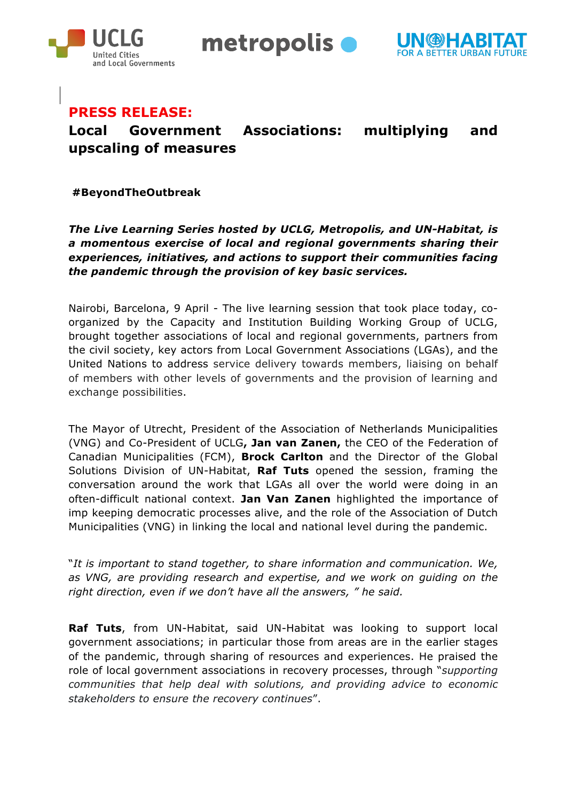

metropolis  $\bullet$ 



## **PRESS RELEASE:**

# **Local Government Associations: multiplying and upscaling of measures**

**#BeyondTheOutbreak**

*The Live Learning Series hosted by UCLG, Metropolis, and UN-Habitat, is a momentous exercise of local and regional governments sharing their experiences, initiatives, and actions to support their communities facing the pandemic through the provision of key basic services.*

Nairobi, Barcelona, 9 April - The live learning session that took place today, coorganized by the Capacity and Institution Building Working Group of UCLG, brought together associations of local and regional governments, partners from the civil society, key actors from Local Government Associations (LGAs), and the United Nations to address service delivery towards members, liaising on behalf of members with other levels of governments and the provision of learning and exchange possibilities.

The Mayor of Utrecht, President of the Association of Netherlands Municipalities (VNG) and Co-President of UCLG**, Jan van Zanen,** the CEO of the Federation of Canadian Municipalities (FCM), **Brock Carlton** and the Director of the Global Solutions Division of UN-Habitat, **Raf Tuts** opened the session, framing the conversation around the work that LGAs all over the world were doing in an often-difficult national context. **Jan Van Zanen** highlighted the importance of imp keeping democratic processes alive, and the role of the Association of Dutch Municipalities (VNG) in linking the local and national level during the pandemic.

"*It is important to stand together, to share information and communication. We, as VNG, are providing research and expertise, and we work on guiding on the right direction, even if we don't have all the answers, " he said.*

**Raf Tuts**, from UN-Habitat, said UN-Habitat was looking to support local government associations; in particular those from areas are in the earlier stages of the pandemic, through sharing of resources and experiences. He praised the role of local government associations in recovery processes, through "*supporting communities that help deal with solutions, and providing advice to economic stakeholders to ensure the recovery continues*".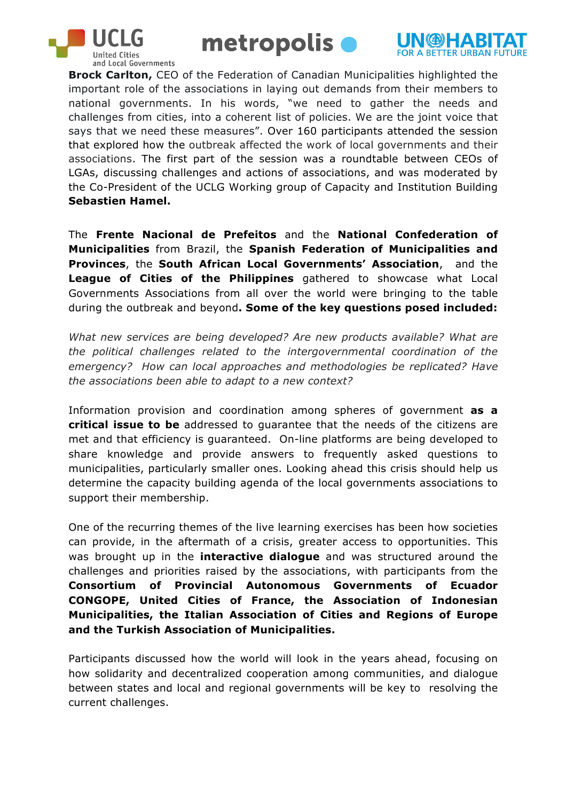





**Brock Carlton,** CEO of the Federation of Canadian Municipalities highlighted the important role of the associations in laying out demands from their members to national governments. In his words, "we need to gather the needs and challenges from cities, into a coherent list of policies. We are the joint voice that says that we need these measures". Over 160 participants attended the session that explored how the outbreak affected the work of local governments and their associations. The first part of the session was a roundtable between CEOs of LGAs, discussing challenges and actions of associations, and was moderated by the Co-President of the UCLG Working group of Capacity and Institution Building **Sebastien Hamel.**

The **Frente Nacional de Prefeitos** and the **National Confederation of Municipalities** from Brazil, the **Spanish Federation of Municipalities and Provinces**, the **South African Local Governments' Association**, and the **League of Cities of the Philippines** gathered to showcase what Local Governments Associations from all over the world were bringing to the table during the outbreak and beyond**. Some of the key questions posed included:** 

*What new services are being developed? Are new products available? What are the political challenges related to the intergovernmental coordination of the emergency? How can local approaches and methodologies be replicated? Have the associations been able to adapt to a new context?*

Information provision and coordination among spheres of government **as a critical issue to be** addressed to guarantee that the needs of the citizens are met and that efficiency is guaranteed. On-line platforms are being developed to share knowledge and provide answers to frequently asked questions to municipalities, particularly smaller ones. Looking ahead this crisis should help us determine the capacity building agenda of the local governments associations to support their membership.

One of the recurring themes of the live learning exercises has been how societies can provide, in the aftermath of a crisis, greater access to opportunities. This was brought up in the **interactive dialogue** and was structured around the challenges and priorities raised by the associations, with participants from the **Consortium of Provincial Autonomous Governments of Ecuador CONGOPE, United Cities of France, the Association of Indonesian Municipalities, the Italian Association of Cities and Regions of Europe and the Turkish Association of Municipalities.**

Participants discussed how the world will look in the years ahead, focusing on how solidarity and decentralized cooperation among communities, and dialogue between states and local and regional governments will be key to resolving the current challenges.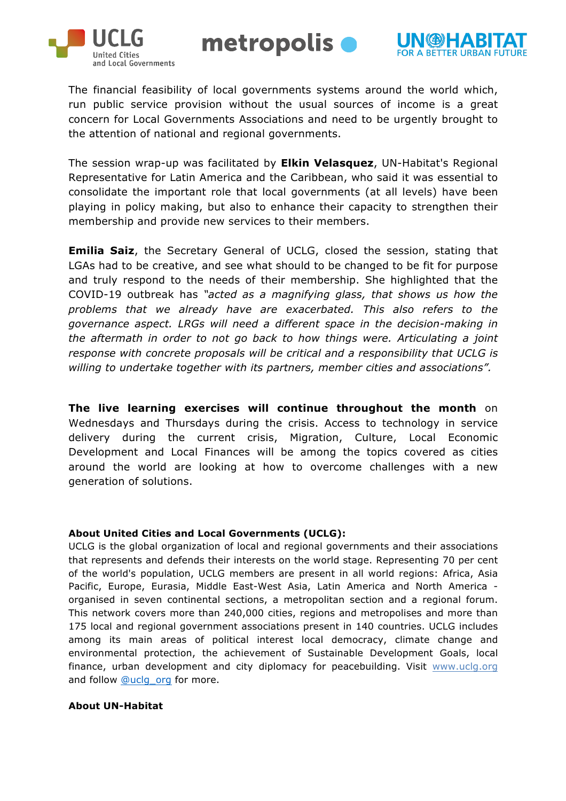



The financial feasibility of local governments systems around the world which, run public service provision without the usual sources of income is a great concern for Local Governments Associations and need to be urgently brought to the attention of national and regional governments.

metropolis  $\bullet$ 

The session wrap-up was facilitated by **Elkin Velasquez**, UN-Habitat's Regional Representative for Latin America and the Caribbean, who said it was essential to consolidate the important role that local governments (at all levels) have been playing in policy making, but also to enhance their capacity to strengthen their membership and provide new services to their members.

**Emilia Saiz**, the Secretary General of UCLG, closed the session, stating that LGAs had to be creative, and see what should to be changed to be fit for purpose and truly respond to the needs of their membership. She highlighted that the COVID-19 outbreak has *"acted as a magnifying glass, that shows us how the problems that we already have are exacerbated. This also refers to the governance aspect. LRGs will need a different space in the decision-making in the aftermath in order to not go back to how things were. Articulating a joint response with concrete proposals will be critical and a responsibility that UCLG is willing to undertake together with its partners, member cities and associations".*

**The live learning exercises will continue throughout the month** on Wednesdays and Thursdays during the crisis. Access to technology in service delivery during the current crisis, Migration, Culture, Local Economic Development and Local Finances will be among the topics covered as cities around the world are looking at how to overcome challenges with a new generation of solutions.

#### **About United Cities and Local Governments (UCLG):**

UCLG is the global organization of local and regional governments and their associations that represents and defends their interests on the world stage. Representing 70 per cent of the world's population, UCLG members are present in all world regions: Africa, Asia Pacific, Europe, Eurasia, Middle East-West Asia, Latin America and North America organised in seven continental sections, a metropolitan section and a regional forum. This network covers more than 240,000 cities, regions and metropolises and more than 175 local and regional government associations present in 140 countries. UCLG includes among its main areas of political interest local democracy, climate change and environmental protection, the achievement of Sustainable Development Goals, local finance, urban development and city diplomacy for peacebuilding. Visit www.uclg.org and follow @uclg\_org for more.

#### **About UN-Habitat**